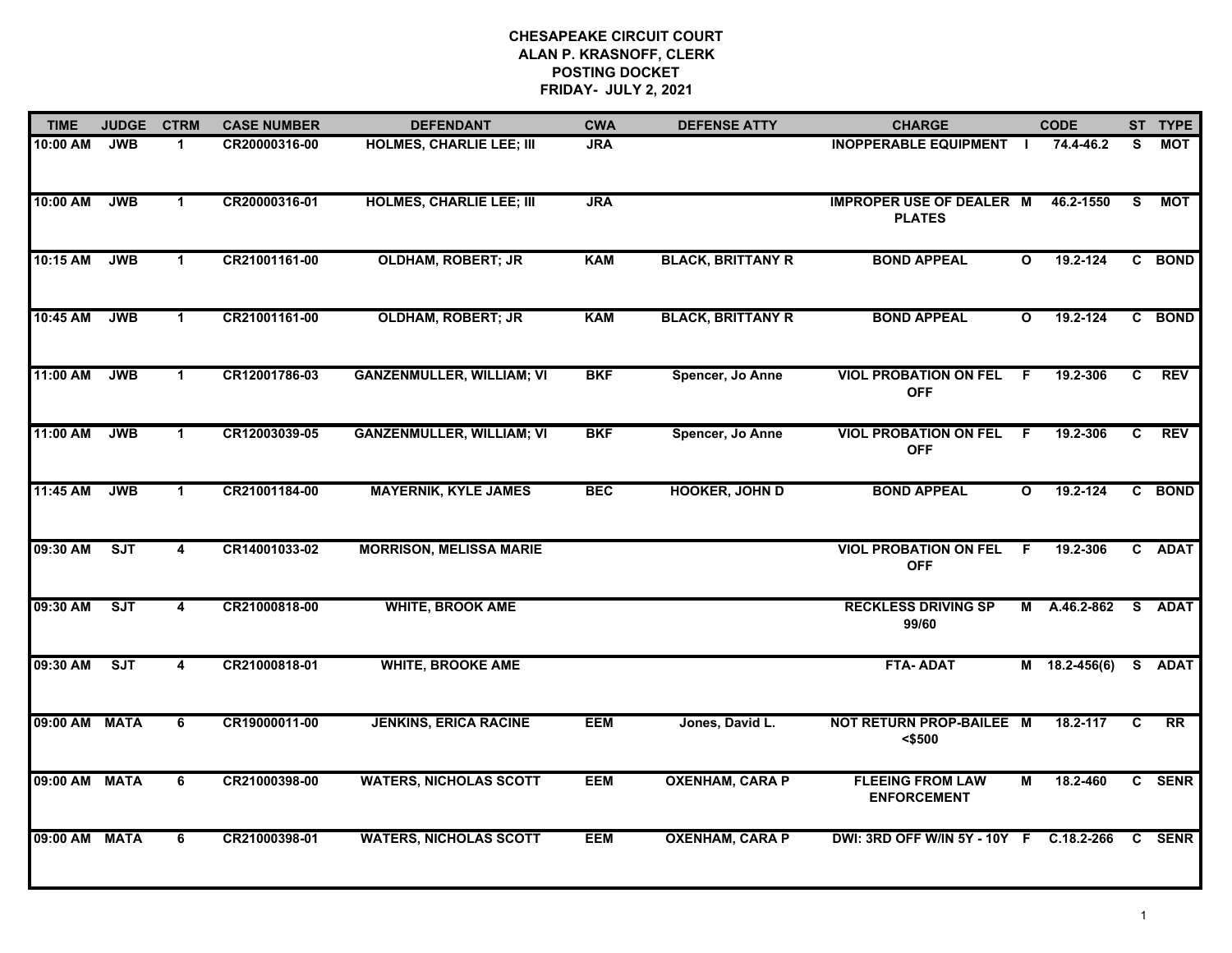## **CHESAPEAKE CIRCUIT COURT ALAN P. KRASNOFF, CLERK POSTING DOCKET FRIDAY- JULY 2, 2021**

| <b>TIME</b>   | <b>JUDGE</b> | <b>CTRM</b>             | <b>CASE NUMBER</b> | <b>DEFENDANT</b>                 | <b>CWA</b> | <b>DEFENSE ATTY</b>      | <b>CHARGE</b>                                    |              | <b>CODE</b>     |          | ST TYPE     |
|---------------|--------------|-------------------------|--------------------|----------------------------------|------------|--------------------------|--------------------------------------------------|--------------|-----------------|----------|-------------|
| 10:00 AM      | <b>JWB</b>   | 1.                      | CR20000316-00      | <b>HOLMES, CHARLIE LEE; III</b>  | <b>JRA</b> |                          | <b>INOPPERABLE EQUIPMENT</b>                     |              | 74.4-46.2       | S        | <b>MOT</b>  |
| 10:00 AM      | <b>JWB</b>   | $\mathbf 1$             | CR20000316-01      | <b>HOLMES, CHARLIE LEE; III</b>  | <b>JRA</b> |                          | <b>IMPROPER USE OF DEALER M</b><br><b>PLATES</b> |              | 46.2-1550       | <b>S</b> | MOT         |
| 10:15 AM      | <b>JWB</b>   | $\mathbf 1$             | CR21001161-00      | <b>OLDHAM, ROBERT; JR</b>        | <b>KAM</b> | <b>BLACK, BRITTANY R</b> | <b>BOND APPEAL</b>                               | $\mathbf{o}$ | 19.2-124        |          | C BOND      |
| 10:45 AM      | <b>JWB</b>   | 1                       | CR21001161-00      | <b>OLDHAM, ROBERT; JR</b>        | <b>KAM</b> | <b>BLACK, BRITTANY R</b> | <b>BOND APPEAL</b>                               | $\mathbf{o}$ | $19.2 - 124$    |          | C BOND      |
| 11:00 AM      | <b>JWB</b>   | $\mathbf 1$             | CR12001786-03      | <b>GANZENMULLER, WILLIAM; VI</b> | <b>BKF</b> | Spencer, Jo Anne         | <b>VIOL PROBATION ON FEL</b><br><b>OFF</b>       | F            | 19.2-306        | C        | <b>REV</b>  |
| 11:00 AM      | <b>JWB</b>   | $\mathbf 1$             | CR12003039-05      | <b>GANZENMULLER, WILLIAM; VI</b> | <b>BKF</b> | Spencer, Jo Anne         | <b>VIOL PROBATION ON FEL</b><br><b>OFF</b>       | F.           | 19.2-306        | C.       | <b>REV</b>  |
| 11:45 AM      | <b>JWB</b>   | $\mathbf 1$             | CR21001184-00      | <b>MAYERNIK, KYLE JAMES</b>      | <b>BEC</b> | <b>HOOKER, JOHN D</b>    | <b>BOND APPEAL</b>                               | $\mathbf{o}$ | 19.2-124        |          | C BOND      |
| 09:30 AM      | SJT          | $\overline{\mathbf{4}}$ | CR14001033-02      | <b>MORRISON, MELISSA MARIE</b>   |            |                          | <b>VIOL PROBATION ON FEL</b><br><b>OFF</b>       | F.           | 19.2-306        |          | C ADAT      |
| 09:30 AM      | SJT          | 4                       | CR21000818-00      | <b>WHITE, BROOK AME</b>          |            |                          | <b>RECKLESS DRIVING SP</b><br>99/60              |              | M A.46.2-862    |          | S ADAT      |
| 09:30 AM      | SJT          | 4                       | CR21000818-01      | <b>WHITE, BROOKE AME</b>         |            |                          | <b>FTA-ADAT</b>                                  |              | $M$ 18.2-456(6) |          | S ADAT      |
| 09:00 AM MATA |              | 6                       | CR19000011-00      | <b>JENKINS, ERICA RACINE</b>     | <b>EEM</b> | Jones, David L.          | NOT RETURN PROP-BAILEE M<br>$<$ \$500            |              | 18.2-117        | C        | <b>RR</b>   |
| 09:00 AM MATA |              | 6                       | CR21000398-00      | <b>WATERS, NICHOLAS SCOTT</b>    | <b>EEM</b> | <b>OXENHAM, CARA P</b>   | <b>FLEEING FROM LAW</b><br><b>ENFORCEMENT</b>    | М            | 18.2-460        |          | C SENR      |
| 09:00 AM MATA |              | 6                       | CR21000398-01      | <b>WATERS, NICHOLAS SCOTT</b>    | <b>EEM</b> | <b>OXENHAM, CARA P</b>   | DWI: 3RD OFF W/IN 5Y - 10Y F C.18.2-266          |              |                 | C.       | <b>SENR</b> |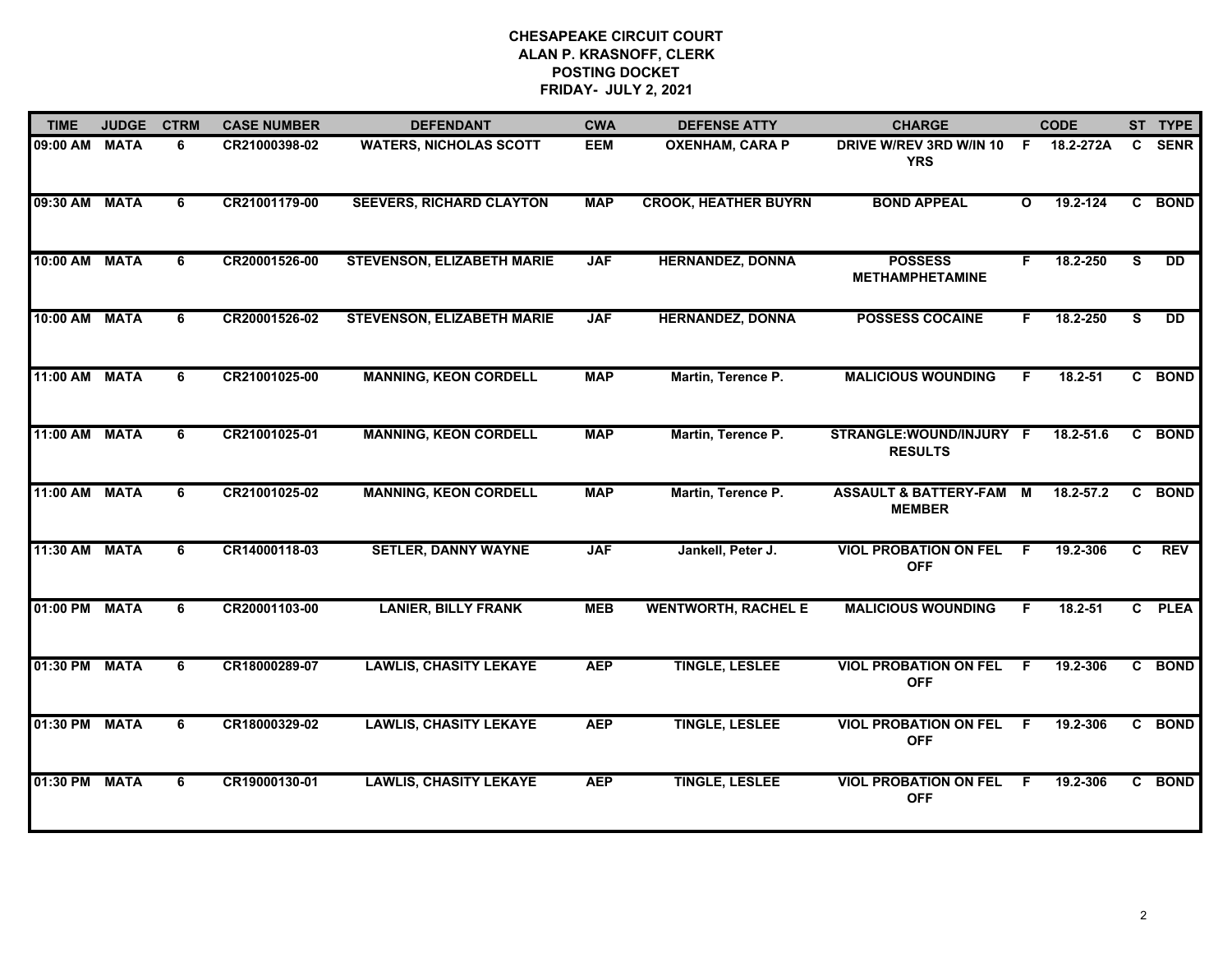## **CHESAPEAKE CIRCUIT COURT ALAN P. KRASNOFF, CLERK POSTING DOCKET FRIDAY- JULY 2, 2021**

| <b>TIME</b>   | <b>JUDGE</b> | <b>CTRM</b> | <b>CASE NUMBER</b> | <b>DEFENDANT</b>                  | <b>CWA</b> | <b>DEFENSE ATTY</b>         | <b>CHARGE</b>                                |              | <b>CODE</b>   |                         | ST TYPE     |
|---------------|--------------|-------------|--------------------|-----------------------------------|------------|-----------------------------|----------------------------------------------|--------------|---------------|-------------------------|-------------|
| 09:00 AM      | <b>MATA</b>  | 6           | CR21000398-02      | <b>WATERS, NICHOLAS SCOTT</b>     | <b>EEM</b> | <b>OXENHAM, CARA P</b>      | <b>DRIVE W/REV 3RD W/IN 10</b><br><b>YRS</b> | F.           | 18.2-272A     | C.                      | <b>SENR</b> |
| 09:30 AM      | <b>MATA</b>  | 6           | CR21001179-00      | <b>SEEVERS, RICHARD CLAYTON</b>   | <b>MAP</b> | <b>CROOK, HEATHER BUYRN</b> | <b>BOND APPEAL</b>                           | $\mathbf{o}$ | 19.2-124      |                         | C BOND      |
| 10:00 AM MATA |              | 6           | CR20001526-00      | <b>STEVENSON, ELIZABETH MARIE</b> | <b>JAF</b> | <b>HERNANDEZ, DONNA</b>     | <b>POSSESS</b><br><b>METHAMPHETAMINE</b>     | F.           | 18.2-250      | $\overline{\mathbf{s}}$ | <b>DD</b>   |
| 10:00 AM      | <b>MATA</b>  | 6           | CR20001526-02      | <b>STEVENSON, ELIZABETH MARIE</b> | <b>JAF</b> | <b>HERNANDEZ, DONNA</b>     | <b>POSSESS COCAINE</b>                       | F.           | 18.2-250      | S.                      | <b>DD</b>   |
| 11:00 AM      | <b>MATA</b>  | 6           | CR21001025-00      | <b>MANNING, KEON CORDELL</b>      | <b>MAP</b> | Martin, Terence P.          | <b>MALICIOUS WOUNDING</b>                    | F.           | $18.2 - 51$   |                         | C BOND      |
| 11:00 AM MATA |              | 6           | CR21001025-01      | <b>MANNING, KEON CORDELL</b>      | <b>MAP</b> | Martin, Terence P.          | STRANGLE:WOUND/INJURY F<br><b>RESULTS</b>    |              | $18.2 - 51.6$ |                         | C BOND      |
| 11:00 AM MATA |              | 6           | CR21001025-02      | <b>MANNING, KEON CORDELL</b>      | <b>MAP</b> | Martin, Terence P.          | ASSAULT & BATTERY-FAM M<br><b>MEMBER</b>     |              | $18.2 - 57.2$ |                         | C BOND      |
| 11:30 AM      | <b>MATA</b>  | 6           | CR14000118-03      | <b>SETLER, DANNY WAYNE</b>        | <b>JAF</b> | Jankell, Peter J.           | <b>VIOL PROBATION ON FEL</b><br><b>OFF</b>   | - F          | 19.2-306      | C.                      | <b>REV</b>  |
| 01:00 PM MATA |              | 6           | CR20001103-00      | <b>LANIER, BILLY FRANK</b>        | <b>MEB</b> | <b>WENTWORTH, RACHEL E</b>  | <b>MALICIOUS WOUNDING</b>                    | F.           | 18.2-51       |                         | C PLEA      |
| 01:30 PM MATA |              | 6           | CR18000289-07      | <b>LAWLIS, CHASITY LEKAYE</b>     | <b>AEP</b> | <b>TINGLE, LESLEE</b>       | <b>VIOL PROBATION ON FEL</b><br><b>OFF</b>   | -F           | 19.2-306      |                         | C BOND      |
| 01:30 PM MATA |              | 6           | CR18000329-02      | <b>LAWLIS, CHASITY LEKAYE</b>     | <b>AEP</b> | <b>TINGLE, LESLEE</b>       | <b>VIOL PROBATION ON FEL</b><br><b>OFF</b>   | - F          | 19.2-306      |                         | C BOND      |
| 01:30 PM MATA |              | 6           | CR19000130-01      | <b>LAWLIS, CHASITY LEKAYE</b>     | <b>AEP</b> | <b>TINGLE, LESLEE</b>       | <b>VIOL PROBATION ON FEL</b><br><b>OFF</b>   | -F           | 19.2-306      |                         | C BOND      |